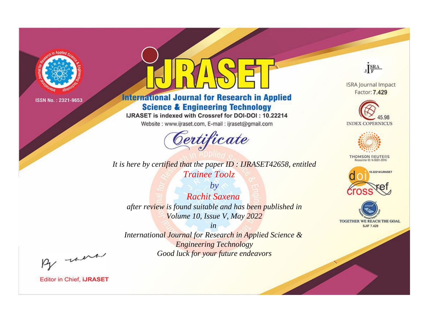

# **International Journal for Research in Applied Science & Engineering Technology**

IJRASET is indexed with Crossref for DOI-DOI: 10.22214

Website: www.ijraset.com, E-mail: ijraset@gmail.com



*It is here by certified that the paper ID : IJRASET42658, entitled Trainee Toolz*

*by Rachit Saxena after review is found suitable and has been published in Volume 10, Issue V, May 2022*

*in International Journal for Research in Applied Science & Engineering Technology Good luck for your future endeavors*



**ISRA Journal Impact** Factor: 7.429





**THOMSON REUTERS** 





By morn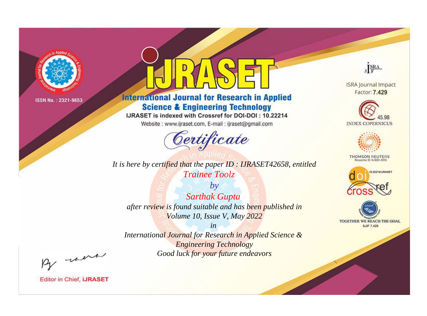

# **International Journal for Research in Applied Science & Engineering Technology**

IJRASET is indexed with Crossref for DOI-DOI: 10.22214

Website: www.ijraset.com, E-mail: ijraset@gmail.com



It is here by certified that the paper ID: IJRASET42658, entitled **Trainee Toolz** 

 $by$ **Sarthak Gupta** after review is found suitable and has been published in Volume 10, Issue V, May 2022

 $in$ International Journal for Research in Applied Science & **Engineering Technology** Good luck for your future endeavors



**ISRA Journal Impact** Factor: 7.429





**THOMSON REUTERS** 



TOGETHER WE REACH THE GOAL **SJIF 7.429** 

By morn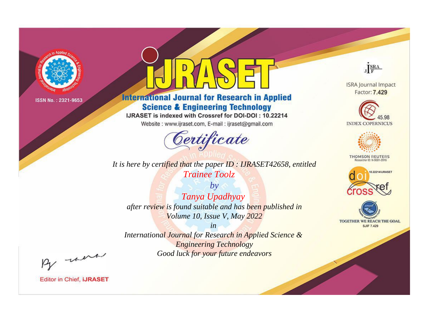

# **International Journal for Research in Applied Science & Engineering Technology**

IJRASET is indexed with Crossref for DOI-DOI: 10.22214

Website: www.ijraset.com, E-mail: ijraset@gmail.com



*It is here by certified that the paper ID : IJRASET42658, entitled Trainee Toolz*

*by Tanya Upadhyay after review is found suitable and has been published in Volume 10, Issue V, May 2022*

*in International Journal for Research in Applied Science & Engineering Technology Good luck for your future endeavors*



**ISRA Journal Impact** Factor: 7.429





**THOMSON REUTERS** 





By morn